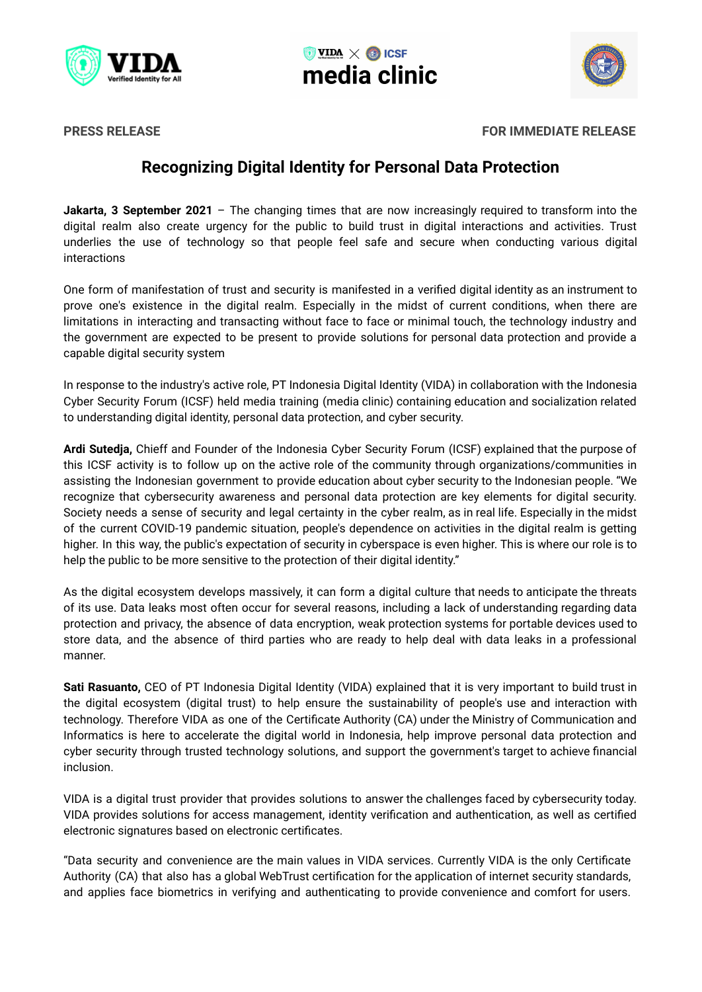





**PRESS RELEASE FOR IMMEDIATE RELEASE**

# **Recognizing Digital Identity for Personal Data Protection**

**Jakarta, 3 September 2021** – The changing times that are now increasingly required to transform into the digital realm also create urgency for the public to build trust in digital interactions and activities. Trust underlies the use of technology so that people feel safe and secure when conducting various digital interactions

One form of manifestation of trust and security is manifested in a verified digital identity as an instrument to prove one's existence in the digital realm. Especially in the midst of current conditions, when there are limitations in interacting and transacting without face to face or minimal touch, the technology industry and the government are expected to be present to provide solutions for personal data protection and provide a capable digital security system

In response to the industry's active role, PT Indonesia Digital Identity (VIDA) in collaboration with the Indonesia Cyber Security Forum (ICSF) held media training (media clinic) containing education and socialization related to understanding digital identity, personal data protection, and cyber security.

**Ardi Sutedja,** Chieff and Founder of the Indonesia Cyber Security Forum (ICSF) explained that the purpose of this ICSF activity is to follow up on the active role of the community through organizations/communities in assisting the Indonesian government to provide education about cyber security to the Indonesian people. "We recognize that cybersecurity awareness and personal data protection are key elements for digital security. Society needs a sense of security and legal certainty in the cyber realm, as in real life. Especially in the midst of the current COVID-19 pandemic situation, people's dependence on activities in the digital realm is getting higher. In this way, the public's expectation of security in cyberspace is even higher. This is where our role is to help the public to be more sensitive to the protection of their digital identity."

As the digital ecosystem develops massively, it can form a digital culture that needs to anticipate the threats of its use. Data leaks most often occur for several reasons, including a lack of understanding regarding data protection and privacy, the absence of data encryption, weak protection systems for portable devices used to store data, and the absence of third parties who are ready to help deal with data leaks in a professional manner.

**Sati Rasuanto,** CEO of PT Indonesia Digital Identity (VIDA) explained that it is very important to build trust in the digital ecosystem (digital trust) to help ensure the sustainability of people's use and interaction with technology. Therefore VIDA as one of the Certificate Authority (CA) under the Ministry of Communication and Informatics is here to accelerate the digital world in Indonesia, help improve personal data protection and cyber security through trusted technology solutions, and support the government's target to achieve financial inclusion.

VIDA is a digital trust provider that provides solutions to answer the challenges faced by cybersecurity today. VIDA provides solutions for access management, identity verification and authentication, as well as certified electronic signatures based on electronic certificates.

"Data security and convenience are the main values in VIDA services. Currently VIDA is the only Certificate Authority (CA) that also has a global WebTrust certification for the application of internet security standards, and applies face biometrics in verifying and authenticating to provide convenience and comfort for users.